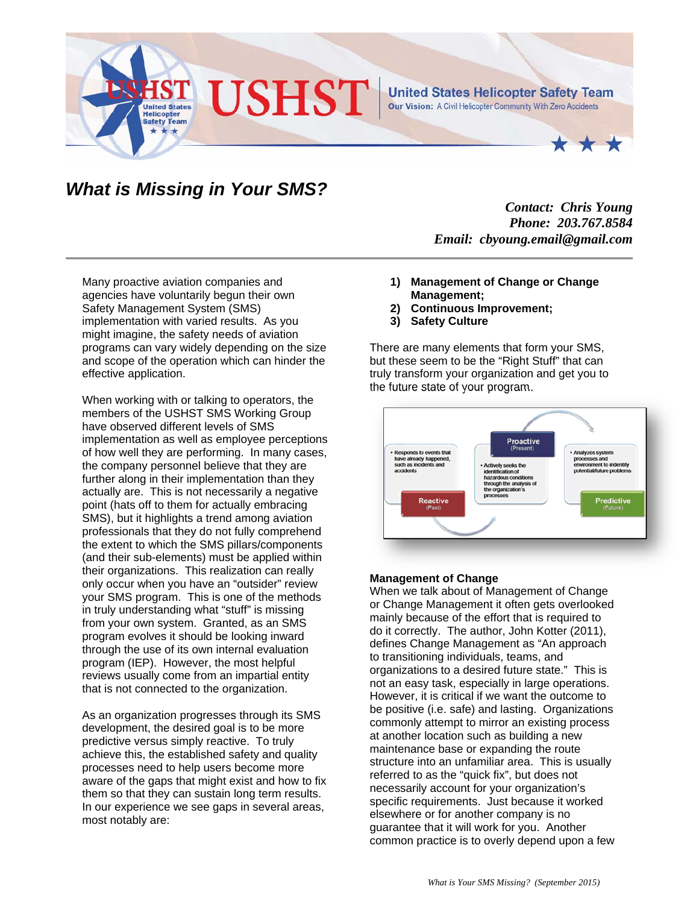

## *What is Missing in Your SMS?*

*Contact: Chris Young Phone: 203.767.8584 Email: cbyoung.email@gmail.com* 

Many proactive aviation companies and agencies have voluntarily begun their own Safety Management System (SMS) implementation with varied results. As you might imagine, the safety needs of aviation programs can vary widely depending on the size and scope of the operation which can hinder the effective application.

When working with or talking to operators, the members of the USHST SMS Working Group have observed different levels of SMS implementation as well as employee perceptions of how well they are performing. In many cases, the company personnel believe that they are further along in their implementation than they actually are. This is not necessarily a negative point (hats off to them for actually embracing SMS), but it highlights a trend among aviation professionals that they do not fully comprehend the extent to which the SMS pillars/components (and their sub-elements) must be applied within their organizations. This realization can really only occur when you have an "outsider" review your SMS program. This is one of the methods in truly understanding what "stuff" is missing from your own system. Granted, as an SMS program evolves it should be looking inward through the use of its own internal evaluation program (IEP). However, the most helpful reviews usually come from an impartial entity that is not connected to the organization.

As an organization progresses through its SMS development, the desired goal is to be more predictive versus simply reactive. To truly achieve this, the established safety and quality processes need to help users become more aware of the gaps that might exist and how to fix them so that they can sustain long term results. In our experience we see gaps in several areas, most notably are:

- **1) Management of Change or Change Management;**
- **2) Continuous Improvement;**
- **3) Safety Culture**

There are many elements that form your SMS, but these seem to be the "Right Stuff" that can truly transform your organization and get you to the future state of your program.



## **Management of Change**

When we talk about of Management of Change or Change Management it often gets overlooked mainly because of the effort that is required to do it correctly. The author, John Kotter (2011), defines Change Management as "An approach to transitioning individuals, teams, and organizations to a desired future state." This is not an easy task, especially in large operations. However, it is critical if we want the outcome to be positive (i.e. safe) and lasting. Organizations commonly attempt to mirror an existing process at another location such as building a new maintenance base or expanding the route structure into an unfamiliar area. This is usually referred to as the "quick fix", but does not necessarily account for your organization's specific requirements. Just because it worked elsewhere or for another company is no guarantee that it will work for you. Another common practice is to overly depend upon a few